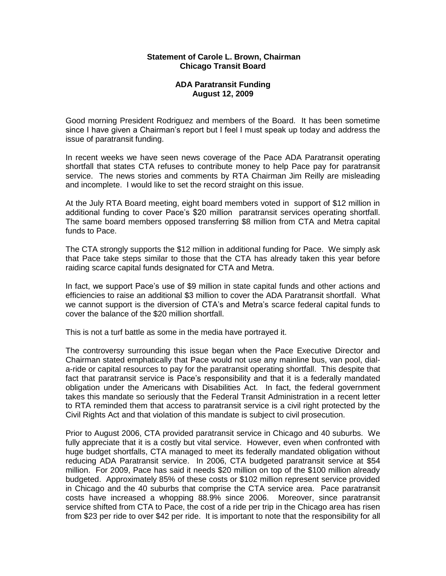## **Statement of Carole L. Brown, Chairman Chicago Transit Board**

## **ADA Paratransit Funding August 12, 2009**

Good morning President Rodriguez and members of the Board. It has been sometime since I have given a Chairman's report but I feel I must speak up today and address the issue of paratransit funding.

In recent weeks we have seen news coverage of the Pace ADA Paratransit operating shortfall that states CTA refuses to contribute money to help Pace pay for paratransit service. The news stories and comments by RTA Chairman Jim Reilly are misleading and incomplete. I would like to set the record straight on this issue.

At the July RTA Board meeting, eight board members voted in support of \$12 million in additional funding to cover Pace's \$20 million paratransit services operating shortfall. The same board members opposed transferring \$8 million from CTA and Metra capital funds to Pace.

The CTA strongly supports the \$12 million in additional funding for Pace. We simply ask that Pace take steps similar to those that the CTA has already taken this year before raiding scarce capital funds designated for CTA and Metra.

In fact, we support Pace's use of \$9 million in state capital funds and other actions and efficiencies to raise an additional \$3 million to cover the ADA Paratransit shortfall. What we cannot support is the diversion of CTA's and Metra's scarce federal capital funds to cover the balance of the \$20 million shortfall.

This is not a turf battle as some in the media have portrayed it.

The controversy surrounding this issue began when the Pace Executive Director and Chairman stated emphatically that Pace would not use any mainline bus, van pool, diala-ride or capital resources to pay for the paratransit operating shortfall. This despite that fact that paratransit service is Pace's responsibility and that it is a federally mandated obligation under the Americans with Disabilities Act. In fact, the federal government takes this mandate so seriously that the Federal Transit Administration in a recent letter to RTA reminded them that access to paratransit service is a civil right protected by the Civil Rights Act and that violation of this mandate is subject to civil prosecution.

Prior to August 2006, CTA provided paratransit service in Chicago and 40 suburbs. We fully appreciate that it is a costly but vital service. However, even when confronted with huge budget shortfalls, CTA managed to meet its federally mandated obligation without reducing ADA Paratransit service. In 2006, CTA budgeted paratransit service at \$54 million. For 2009, Pace has said it needs \$20 million on top of the \$100 million already budgeted. Approximately 85% of these costs or \$102 million represent service provided in Chicago and the 40 suburbs that comprise the CTA service area. Pace paratransit costs have increased a whopping 88.9% since 2006. Moreover, since paratransit service shifted from CTA to Pace, the cost of a ride per trip in the Chicago area has risen from \$23 per ride to over \$42 per ride. It is important to note that the responsibility for all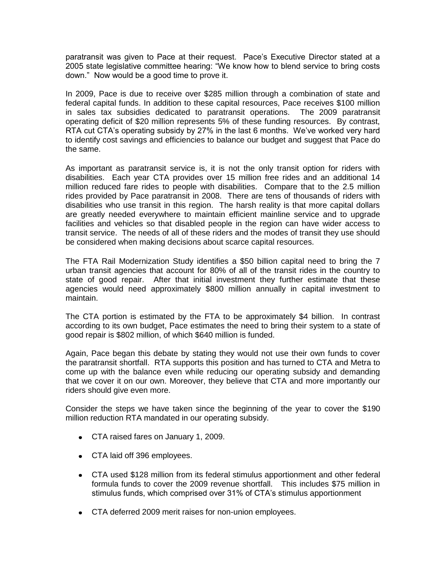paratransit was given to Pace at their request. Pace's Executive Director stated at a 2005 state legislative committee hearing: "We know how to blend service to bring costs down." Now would be a good time to prove it.

In 2009, Pace is due to receive over \$285 million through a combination of state and federal capital funds. In addition to these capital resources, Pace receives \$100 million in sales tax subsidies dedicated to paratransit operations. The 2009 paratransit operating deficit of \$20 million represents 5% of these funding resources. By contrast, RTA cut CTA's operating subsidy by 27% in the last 6 months. We've worked very hard to identify cost savings and efficiencies to balance our budget and suggest that Pace do the same.

As important as paratransit service is, it is not the only transit option for riders with disabilities. Each year CTA provides over 15 million free rides and an additional 14 million reduced fare rides to people with disabilities. Compare that to the 2.5 million rides provided by Pace paratransit in 2008. There are tens of thousands of riders with disabilities who use transit in this region. The harsh reality is that more capital dollars are greatly needed everywhere to maintain efficient mainline service and to upgrade facilities and vehicles so that disabled people in the region can have wider access to transit service. The needs of all of these riders and the modes of transit they use should be considered when making decisions about scarce capital resources.

The FTA Rail Modernization Study identifies a \$50 billion capital need to bring the 7 urban transit agencies that account for 80% of all of the transit rides in the country to state of good repair. After that initial investment they further estimate that these agencies would need approximately \$800 million annually in capital investment to maintain.

The CTA portion is estimated by the FTA to be approximately \$4 billion. In contrast according to its own budget, Pace estimates the need to bring their system to a state of good repair is \$802 million, of which \$640 million is funded.

Again, Pace began this debate by stating they would not use their own funds to cover the paratransit shortfall. RTA supports this position and has turned to CTA and Metra to come up with the balance even while reducing our operating subsidy and demanding that we cover it on our own. Moreover, they believe that CTA and more importantly our riders should give even more.

Consider the steps we have taken since the beginning of the year to cover the \$190 million reduction RTA mandated in our operating subsidy.

- CTA raised fares on January 1, 2009.
- CTA laid off 396 employees.
- CTA used \$128 million from its federal stimulus apportionment and other federal formula funds to cover the 2009 revenue shortfall. This includes \$75 million in stimulus funds, which comprised over 31% of CTA's stimulus apportionment
- CTA deferred 2009 merit raises for non-union employees.